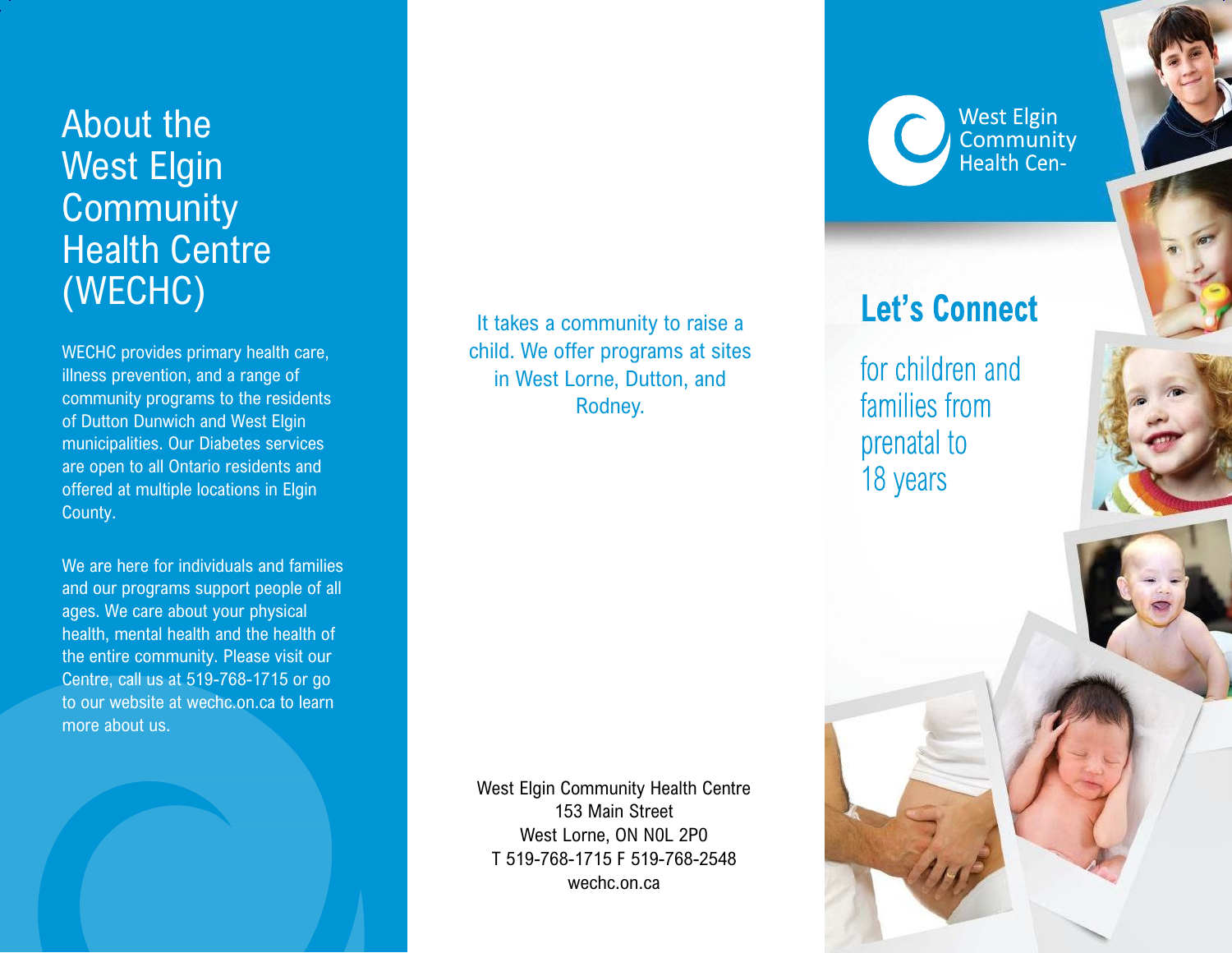# About the West Elgin **Community** Health Centre (WECHC)

WECHC provides primary health care, illness prevention, and a range of community programs to the residents of Dutton Dunwich and West Elgin municipalities. Our Diabetes services are open to all Ontario residents and offered at multiple locations in Elgin County.

We are here for individuals and families and our programs support people of all ages. We care about your physical health, mental health and the health of the entire community. Please visit our Centre, call us at 519-768-1715 or go to our website at wechc.on.ca to learn more about us.

It takes a community to raise a child. We offer programs at sites in West Lorne, Dutton, and Rodney.

West Elgin Community Health Centre 153 Main Street West Lorne, ON N0L 2P0 T 519-768-1715 F 519-768-2548 wechc.on.ca

**West Elgin** Community<br>Health Cen-

## **Let's Connect**

for children and families from prenatal to 18 years